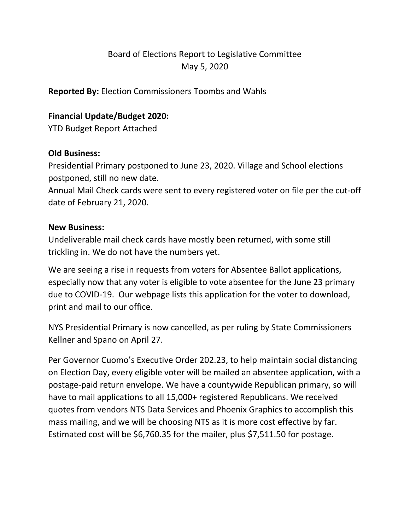# Board of Elections Report to Legislative Committee May 5, 2020

**Reported By:** Election Commissioners Toombs and Wahls

## **Financial Update/Budget 2020:**

YTD Budget Report Attached

### **Old Business:**

Presidential Primary postponed to June 23, 2020. Village and School elections postponed, still no new date.

Annual Mail Check cards were sent to every registered voter on file per the cut-off date of February 21, 2020.

#### **New Business:**

Undeliverable mail check cards have mostly been returned, with some still trickling in. We do not have the numbers yet.

We are seeing a rise in requests from voters for Absentee Ballot applications, especially now that any voter is eligible to vote absentee for the June 23 primary due to COVID-19. Our webpage lists this application for the voter to download, print and mail to our office.

NYS Presidential Primary is now cancelled, as per ruling by State Commissioners Kellner and Spano on April 27.

Per Governor Cuomo's Executive Order 202.23, to help maintain social distancing on Election Day, every eligible voter will be mailed an absentee application, with a postage-paid return envelope. We have a countywide Republican primary, so will have to mail applications to all 15,000+ registered Republicans. We received quotes from vendors NTS Data Services and Phoenix Graphics to accomplish this mass mailing, and we will be choosing NTS as it is more cost effective by far. Estimated cost will be \$6,760.35 for the mailer, plus \$7,511.50 for postage.